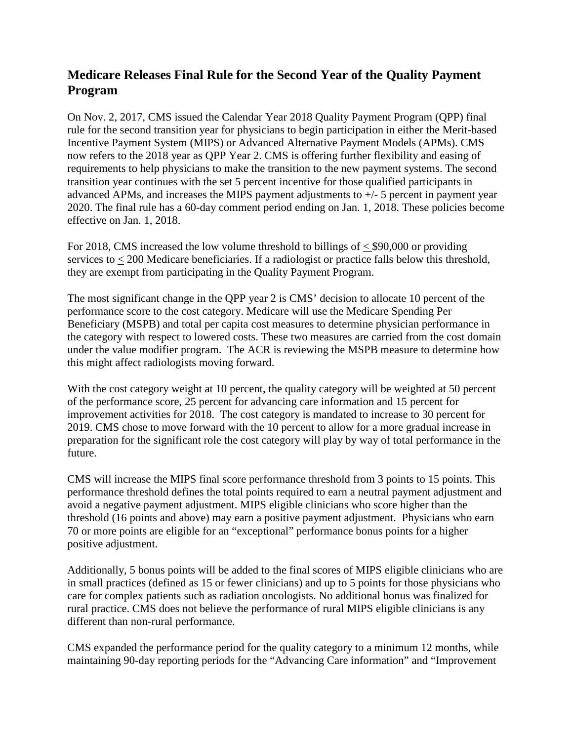# **Medicare Releases Final Rule for the Second Year of the Quality Payment Program**

On Nov. 2, 2017, CMS issued the Calendar Year 2018 Quality Payment Program (QPP) final rule for the second transition year for physicians to begin participation in either the Merit-based Incentive Payment System (MIPS) or Advanced Alternative Payment Models (APMs). CMS now refers to the 2018 year as QPP Year 2. CMS is offering further flexibility and easing of requirements to help physicians to make the transition to the new payment systems. The second transition year continues with the set 5 percent incentive for those qualified participants in advanced APMs, and increases the MIPS payment adjustments to +/- 5 percent in payment year 2020. The final rule has a 60-day comment period ending on Jan. 1, 2018. These policies become effective on Jan. 1, 2018.

For 2018, CMS increased the low volume threshold to billings of  $\lt$  \$90,000 or providing services to < 200 Medicare beneficiaries. If a radiologist or practice falls below this threshold, they are exempt from participating in the Quality Payment Program.

The most significant change in the QPP year 2 is CMS' decision to allocate 10 percent of the performance score to the cost category. Medicare will use the Medicare Spending Per Beneficiary (MSPB) and total per capita cost measures to determine physician performance in the category with respect to lowered costs. These two measures are carried from the cost domain under the value modifier program. The ACR is reviewing the MSPB measure to determine how this might affect radiologists moving forward.

With the cost category weight at 10 percent, the quality category will be weighted at 50 percent of the performance score, 25 percent for advancing care information and 15 percent for improvement activities for 2018. The cost category is mandated to increase to 30 percent for 2019. CMS chose to move forward with the 10 percent to allow for a more gradual increase in preparation for the significant role the cost category will play by way of total performance in the future.

CMS will increase the MIPS final score performance threshold from 3 points to 15 points. This performance threshold defines the total points required to earn a neutral payment adjustment and avoid a negative payment adjustment. MIPS eligible clinicians who score higher than the threshold (16 points and above) may earn a positive payment adjustment. Physicians who earn 70 or more points are eligible for an "exceptional" performance bonus points for a higher positive adjustment.

Additionally, 5 bonus points will be added to the final scores of MIPS eligible clinicians who are in small practices (defined as 15 or fewer clinicians) and up to 5 points for those physicians who care for complex patients such as radiation oncologists. No additional bonus was finalized for rural practice. CMS does not believe the performance of rural MIPS eligible clinicians is any different than non-rural performance.

CMS expanded the performance period for the quality category to a minimum 12 months, while maintaining 90-day reporting periods for the "Advancing Care information" and "Improvement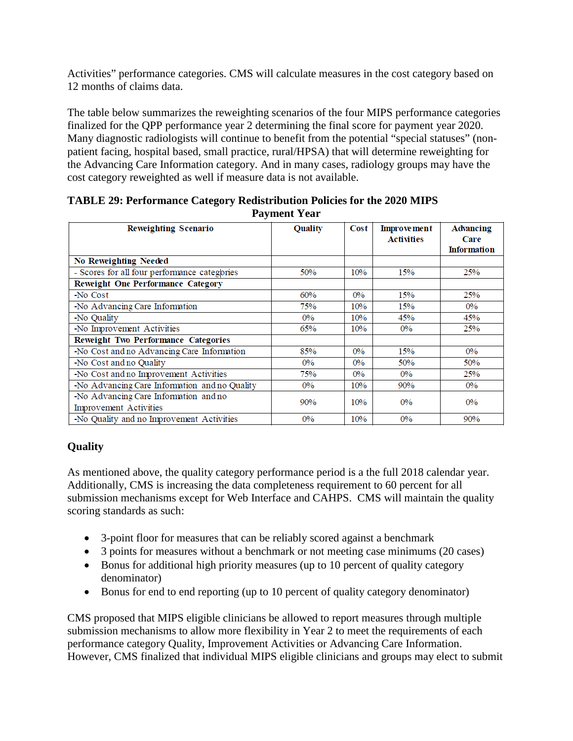Activities" performance categories. CMS will calculate measures in the cost category based on 12 months of claims data.

The table below summarizes the reweighting scenarios of the four MIPS performance categories finalized for the QPP performance year 2 determining the final score for payment year 2020. Many diagnostic radiologists will continue to benefit from the potential "special statuses" (nonpatient facing, hospital based, small practice, rural/HPSA) that will determine reweighting for the Advancing Care Information category. And in many cases, radiology groups may have the cost category reweighted as well if measure data is not available.

| $\ldots$ , $\ldots$ , $\ldots$                                  |                |       |                                  |                                                |
|-----------------------------------------------------------------|----------------|-------|----------------------------------|------------------------------------------------|
| Reweighting Scenario                                            | <b>Quality</b> | Cost  | <b>Improvement</b><br>Activities | <b>Advancing</b><br>Care<br><b>Information</b> |
| No Reweighting Needed                                           |                |       |                                  |                                                |
| - Scores for all four performance categories                    | 50%            | 10%   | 15%                              | 25%                                            |
| Reweight One Performance Category                               |                |       |                                  |                                                |
| -No Cost                                                        | 60%            | $0\%$ | 15%                              | 25%                                            |
| -No Advancing Care Information                                  | 75%            | 10%   | 15%                              | $0\%$                                          |
| -No Quality                                                     | $0\%$          | 10%   | 45%                              | 45%                                            |
| -No Improvement Activities                                      | 65%            | 10%   | $0\%$                            | 25%                                            |
| Reweight Two Performance Categories                             |                |       |                                  |                                                |
| -No Cost and no Advancing Care Information                      | 85%            | $0\%$ | 15%                              | $0\%$                                          |
| -No Cost and no Quality                                         | $0\%$          | $0\%$ | 50%                              | 50%                                            |
| -No Cost and no Improvement Activities                          | 75%            | $0\%$ | $0\%$                            | 25%                                            |
| -No Advancing Care Information and no Quality                   | $0\%$          | 10%   | 90%                              | $0\%$                                          |
| -No Advancing Care Information and no<br>Improvement Activities | 90%            | 10%   | $0\%$                            | $0\%$                                          |
| -No Quality and no Improvement Activities                       | $0\%$          | 10%   | $0\%$                            | 90%                                            |

#### **TABLE 29: Performance Category Redistribution Policies for the 2020 MIPS Payment Year**

## **Quality**

As mentioned above, the quality category performance period is a the full 2018 calendar year. Additionally, CMS is increasing the data completeness requirement to 60 percent for all submission mechanisms except for Web Interface and CAHPS. CMS will maintain the quality scoring standards as such:

- 3-point floor for measures that can be reliably scored against a benchmark
- 3 points for measures without a benchmark or not meeting case minimums (20 cases)
- Bonus for additional high priority measures (up to 10 percent of quality category denominator)
- Bonus for end to end reporting (up to 10 percent of quality category denominator)

CMS proposed that MIPS eligible clinicians be allowed to report measures through multiple submission mechanisms to allow more flexibility in Year 2 to meet the requirements of each performance category Quality, Improvement Activities or Advancing Care Information. However, CMS finalized that individual MIPS eligible clinicians and groups may elect to submit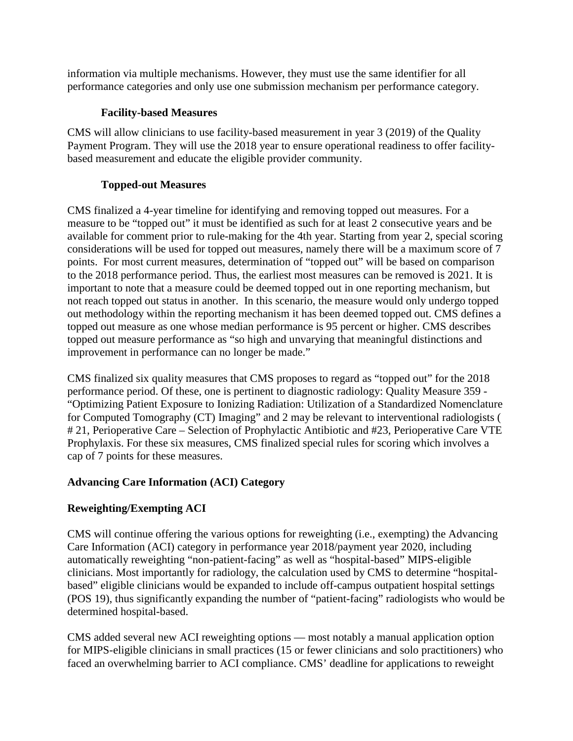information via multiple mechanisms. However, they must use the same identifier for all performance categories and only use one submission mechanism per performance category.

#### **Facility-based Measures**

CMS will allow clinicians to use facility-based measurement in year 3 (2019) of the Quality Payment Program. They will use the 2018 year to ensure operational readiness to offer facilitybased measurement and educate the eligible provider community.

## **Topped-out Measures**

CMS finalized a 4-year timeline for identifying and removing topped out measures. For a measure to be "topped out" it must be identified as such for at least 2 consecutive years and be available for comment prior to rule-making for the 4th year. Starting from year 2, special scoring considerations will be used for topped out measures, namely there will be a maximum score of 7 points. For most current measures, determination of "topped out" will be based on comparison to the 2018 performance period. Thus, the earliest most measures can be removed is 2021. It is important to note that a measure could be deemed topped out in one reporting mechanism, but not reach topped out status in another. In this scenario, the measure would only undergo topped out methodology within the reporting mechanism it has been deemed topped out. CMS defines a topped out measure as one whose median performance is 95 percent or higher. CMS describes topped out measure performance as "so high and unvarying that meaningful distinctions and improvement in performance can no longer be made."

CMS finalized six quality measures that CMS proposes to regard as "topped out" for the 2018 performance period. Of these, one is pertinent to diagnostic radiology: Quality Measure 359 - "Optimizing Patient Exposure to Ionizing Radiation: Utilization of a Standardized Nomenclature for Computed Tomography (CT) Imaging" and 2 may be relevant to interventional radiologists ( # 21, Perioperative Care – Selection of Prophylactic Antibiotic and #23, Perioperative Care VTE Prophylaxis. For these six measures, CMS finalized special rules for scoring which involves a cap of 7 points for these measures.

## **Advancing Care Information (ACI) Category**

## **Reweighting/Exempting ACI**

CMS will continue offering the various options for reweighting (i.e., exempting) the Advancing Care Information (ACI) category in performance year 2018/payment year 2020, including automatically reweighting "non-patient-facing" as well as "hospital-based" MIPS-eligible clinicians. Most importantly for radiology, the calculation used by CMS to determine "hospitalbased" eligible clinicians would be expanded to include off-campus outpatient hospital settings (POS 19), thus significantly expanding the number of "patient-facing" radiologists who would be determined hospital-based.

CMS added several new ACI reweighting options — most notably a manual application option for MIPS-eligible clinicians in small practices (15 or fewer clinicians and solo practitioners) who faced an overwhelming barrier to ACI compliance. CMS' deadline for applications to reweight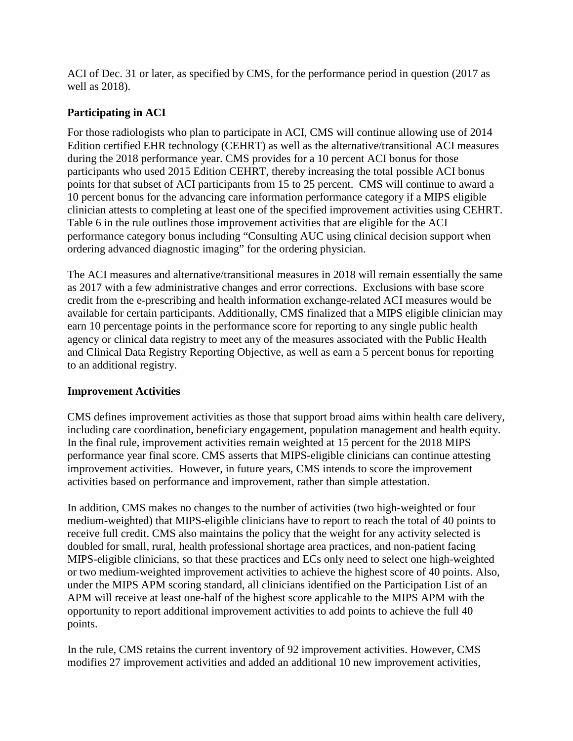ACI of Dec. 31 or later, as specified by CMS, for the performance period in question (2017 as well as 2018).

#### **Participating in ACI**

For those radiologists who plan to participate in ACI, CMS will continue allowing use of 2014 Edition certified EHR technology (CEHRT) as well as the alternative/transitional ACI measures during the 2018 performance year. CMS provides for a 10 percent ACI bonus for those participants who used 2015 Edition CEHRT, thereby increasing the total possible ACI bonus points for that subset of ACI participants from 15 to 25 percent. CMS will continue to award a 10 percent bonus for the advancing care information performance category if a MIPS eligible clinician attests to completing at least one of the specified improvement activities using CEHRT. Table 6 in the rule outlines those improvement activities that are eligible for the ACI performance category bonus including "Consulting AUC using clinical decision support when ordering advanced diagnostic imaging" for the ordering physician.

The ACI measures and alternative/transitional measures in 2018 will remain essentially the same as 2017 with a few administrative changes and error corrections. Exclusions with base score credit from the e-prescribing and health information exchange-related ACI measures would be available for certain participants. Additionally, CMS finalized that a MIPS eligible clinician may earn 10 percentage points in the performance score for reporting to any single public health agency or clinical data registry to meet any of the measures associated with the Public Health and Clinical Data Registry Reporting Objective, as well as earn a 5 percent bonus for reporting to an additional registry.

#### **Improvement Activities**

CMS defines improvement activities as those that support broad aims within health care delivery, including care coordination, beneficiary engagement, population management and health equity. In the final rule, improvement activities remain weighted at 15 percent for the 2018 MIPS performance year final score. CMS asserts that MIPS-eligible clinicians can continue attesting improvement activities. However, in future years, CMS intends to score the improvement activities based on performance and improvement, rather than simple attestation.

In addition, CMS makes no changes to the number of activities (two high-weighted or four medium-weighted) that MIPS-eligible clinicians have to report to reach the total of 40 points to receive full credit. CMS also maintains the policy that the weight for any activity selected is doubled for small, rural, health professional shortage area practices, and non-patient facing MIPS-eligible clinicians, so that these practices and ECs only need to select one high-weighted or two medium-weighted improvement activities to achieve the highest score of 40 points. Also, under the MIPS APM scoring standard, all clinicians identified on the Participation List of an APM will receive at least one-half of the highest score applicable to the MIPS APM with the opportunity to report additional improvement activities to add points to achieve the full 40 points.

In the rule, CMS retains the current inventory of 92 improvement activities. However, CMS modifies 27 improvement activities and added an additional 10 new improvement activities,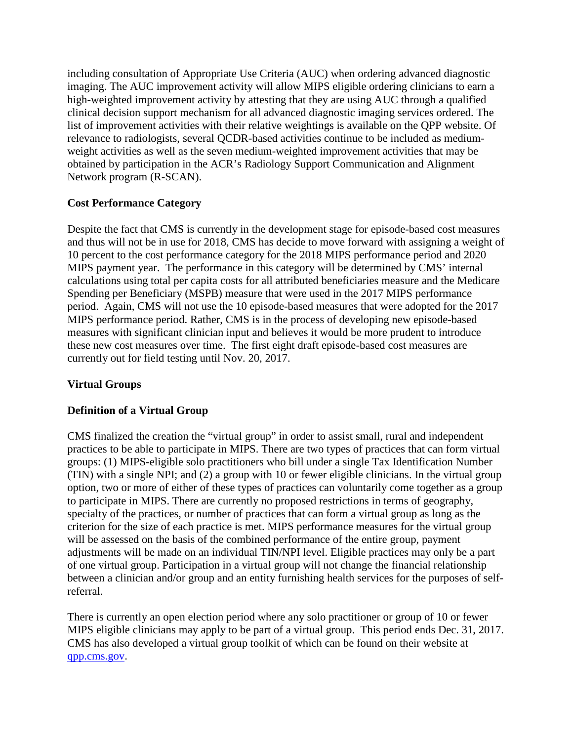including consultation of Appropriate Use Criteria (AUC) when ordering advanced diagnostic imaging. The AUC improvement activity will allow MIPS eligible ordering clinicians to earn a high-weighted improvement activity by attesting that they are using AUC through a qualified clinical decision support mechanism for all advanced diagnostic imaging services ordered. The list of improvement activities with their relative weightings is available on the [QPP website.](https://qpp.cms.gov/mips/improvement-activities) Of relevance to radiologists, several QCDR-based activities continue to be included as mediumweight activities as well as the seven medium-weighted improvement activities that may be obtained by participation in the ACR's Radiology Support Communication and Alignment Network program (R-SCAN).

#### **Cost Performance Category**

Despite the fact that CMS is currently in the development stage for episode-based cost measures and thus will not be in use for 2018, CMS has decide to move forward with assigning a weight of 10 percent to the cost performance category for the 2018 MIPS performance period and 2020 MIPS payment year. The performance in this category will be determined by CMS' internal calculations using total per capita costs for all attributed beneficiaries measure and the Medicare Spending per Beneficiary (MSPB) measure that were used in the 2017 MIPS performance period. Again, CMS will not use the 10 episode-based measures that were adopted for the 2017 MIPS performance period. Rather, CMS is in the process of developing new episode-based measures with significant clinician input and believes it would be more prudent to introduce these new cost measures over time. The first eight draft episode-based cost measures are currently out for field testing until Nov. 20, 2017.

## **Virtual Groups**

#### **Definition of a Virtual Group**

CMS finalized the creation the "virtual group" in order to assist small, rural and independent practices to be able to participate in MIPS. There are two types of practices that can form virtual groups: (1) MIPS-eligible solo practitioners who bill under a single Tax Identification Number (TIN) with a single NPI; and (2) a group with 10 or fewer eligible clinicians. In the virtual group option, two or more of either of these types of practices can voluntarily come together as a group to participate in MIPS. There are currently no proposed restrictions in terms of geography, specialty of the practices, or number of practices that can form a virtual group as long as the criterion for the size of each practice is met. MIPS performance measures for the virtual group will be assessed on the basis of the combined performance of the entire group, payment adjustments will be made on an individual TIN/NPI level. Eligible practices may only be a part of one virtual group. Participation in a virtual group will not change the financial relationship between a clinician and/or group and an entity furnishing health services for the purposes of selfreferral.

There is currently an open election period where any solo practitioner or group of 10 or fewer MIPS eligible clinicians may apply to be part of a virtual group. This period ends Dec. 31, 2017. CMS has also developed a virtual group toolkit of which can be found on their website at [qpp.cms.gov.](http://www.qpp.cms.gov/)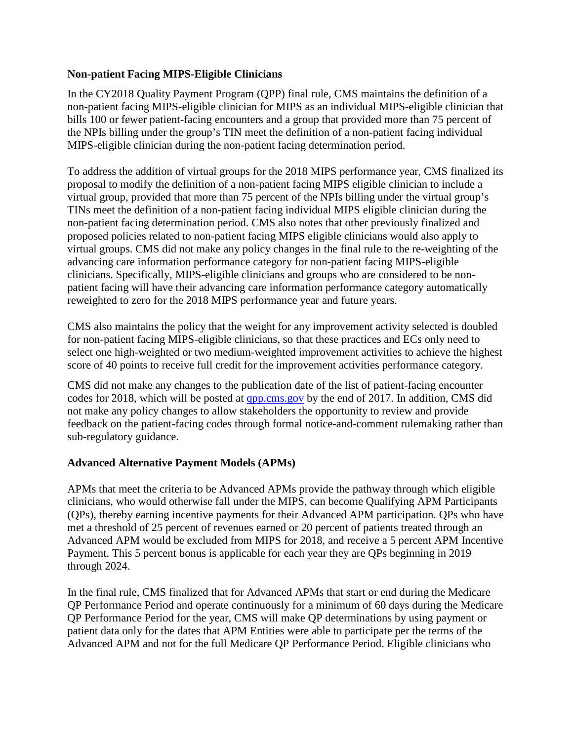#### **Non-patient Facing MIPS-Eligible Clinicians**

In the CY2018 Quality Payment Program (QPP) final rule, CMS maintains the definition of a non-patient facing MIPS-eligible clinician for MIPS as an individual MIPS-eligible clinician that bills 100 or fewer patient-facing encounters and a group that provided more than 75 percent of the NPIs billing under the group's TIN meet the definition of a non-patient facing individual MIPS-eligible clinician during the non-patient facing determination period.

To address the addition of virtual groups for the 2018 MIPS performance year, CMS finalized its proposal to modify the definition of a non-patient facing MIPS eligible clinician to include a virtual group, provided that more than 75 percent of the NPIs billing under the virtual group's TINs meet the definition of a non-patient facing individual MIPS eligible clinician during the non-patient facing determination period. CMS also notes that other previously finalized and proposed policies related to non-patient facing MIPS eligible clinicians would also apply to virtual groups. CMS did not make any policy changes in the final rule to the re-weighting of the advancing care information performance category for non-patient facing MIPS-eligible clinicians. Specifically, MIPS-eligible clinicians and groups who are considered to be nonpatient facing will have their advancing care information performance category automatically reweighted to zero for the 2018 MIPS performance year and future years.

CMS also maintains the policy that the weight for any improvement activity selected is doubled for non-patient facing MIPS-eligible clinicians, so that these practices and ECs only need to select one high-weighted or two medium-weighted improvement activities to achieve the highest score of 40 points to receive full credit for the improvement activities performance category.

CMS did not make any changes to the publication date of the list of patient-facing encounter codes for 2018, which will be posted at <u>app.cms.gov</u> by the end of 2017. In addition, CMS did not make any policy changes to allow stakeholders the opportunity to review and provide feedback on the patient-facing codes through formal notice-and-comment rulemaking rather than sub-regulatory guidance.

#### **Advanced Alternative Payment Models (APMs)**

APMs that meet the criteria to be Advanced APMs provide the pathway through which eligible clinicians, who would otherwise fall under the MIPS, can become Qualifying APM Participants (QPs), thereby earning incentive payments for their Advanced APM participation. QPs who have met a threshold of 25 percent of revenues earned or 20 percent of patients treated through an Advanced APM would be excluded from MIPS for 2018, and receive a 5 percent APM Incentive Payment. This 5 percent bonus is applicable for each year they are QPs beginning in 2019 through 2024.

In the final rule, CMS finalized that for Advanced APMs that start or end during the Medicare QP Performance Period and operate continuously for a minimum of 60 days during the Medicare QP Performance Period for the year, CMS will make QP determinations by using payment or patient data only for the dates that APM Entities were able to participate per the terms of the Advanced APM and not for the full Medicare QP Performance Period. Eligible clinicians who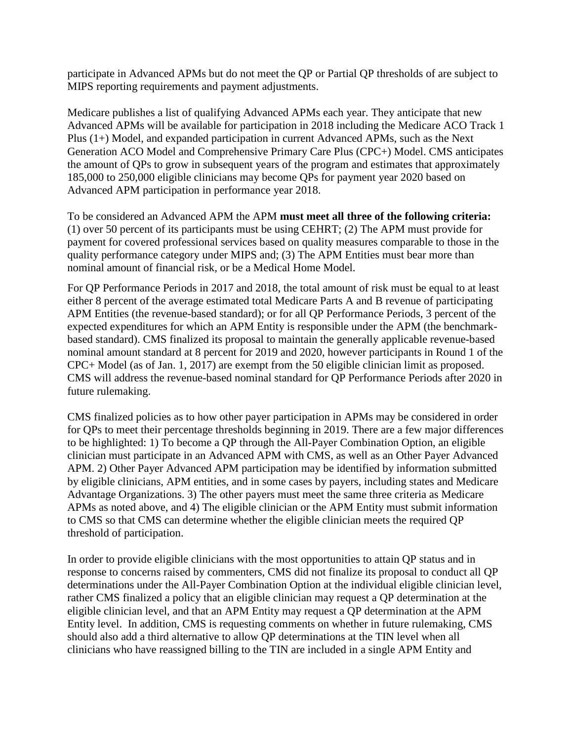participate in Advanced APMs but do not meet the QP or Partial QP thresholds of are subject to MIPS reporting requirements and payment adjustments.

Medicare publishes a list of qualifying Advanced APMs each year. They anticipate that new Advanced APMs will be available for participation in 2018 including the Medicare ACO Track 1 Plus (1+) Model, and expanded participation in current Advanced APMs, such as the Next Generation ACO Model and Comprehensive Primary Care Plus (CPC+) Model. CMS anticipates the amount of QPs to grow in subsequent years of the program and estimates that approximately 185,000 to 250,000 eligible clinicians may become QPs for payment year 2020 based on Advanced APM participation in performance year 2018.

To be considered an Advanced APM the APM **must meet all three of the following criteria:** (1) over 50 percent of its participants must be using CEHRT; (2) The APM must provide for payment for covered professional services based on quality measures comparable to those in the quality performance category under MIPS and; (3) The APM Entities must bear more than nominal amount of financial risk, or be a Medical Home Model.

For QP Performance Periods in 2017 and 2018, the total amount of risk must be equal to at least either 8 percent of the average estimated total Medicare Parts A and B revenue of participating APM Entities (the revenue-based standard); or for all QP Performance Periods, 3 percent of the expected expenditures for which an APM Entity is responsible under the APM (the benchmarkbased standard). CMS finalized its proposal to maintain the generally applicable revenue-based nominal amount standard at 8 percent for 2019 and 2020, however participants in Round 1 of the CPC+ Model (as of Jan. 1, 2017) are exempt from the 50 eligible clinician limit as proposed. CMS will address the revenue-based nominal standard for QP Performance Periods after 2020 in future rulemaking.

CMS finalized policies as to how other payer participation in APMs may be considered in order for QPs to meet their percentage thresholds beginning in 2019. There are a few major differences to be highlighted: 1) To become a QP through the All-Payer Combination Option, an eligible clinician must participate in an Advanced APM with CMS, as well as an Other Payer Advanced APM. 2) Other Payer Advanced APM participation may be identified by information submitted by eligible clinicians, APM entities, and in some cases by payers, including states and Medicare Advantage Organizations. 3) The other payers must meet the same three criteria as Medicare APMs as noted above, and 4) The eligible clinician or the APM Entity must submit information to CMS so that CMS can determine whether the eligible clinician meets the required QP threshold of participation.

In order to provide eligible clinicians with the most opportunities to attain QP status and in response to concerns raised by commenters, CMS did not finalize its proposal to conduct all QP determinations under the All-Payer Combination Option at the individual eligible clinician level, rather CMS finalized a policy that an eligible clinician may request a QP determination at the eligible clinician level, and that an APM Entity may request a QP determination at the APM Entity level. In addition, CMS is requesting comments on whether in future rulemaking, CMS should also add a third alternative to allow QP determinations at the TIN level when all clinicians who have reassigned billing to the TIN are included in a single APM Entity and